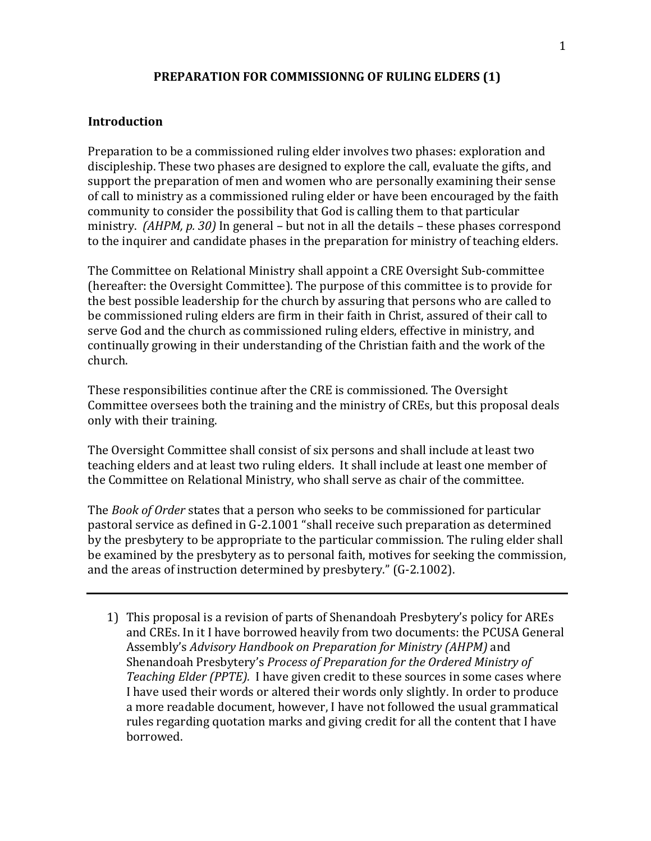#### **PREPARATION FOR COMMISSIONNG OF RULING ELDERS (1)**

#### **Introduction**

Preparation to be a commissioned ruling elder involves two phases: exploration and discipleship. These two phases are designed to explore the call, evaluate the gifts, and support the preparation of men and women who are personally examining their sense of call to ministry as a commissioned ruling elder or have been encouraged by the faith community to consider the possibility that God is calling them to that particular ministry. *(AHPM, p. 30)* In general – but not in all the details – these phases correspond to the inquirer and candidate phases in the preparation for ministry of teaching elders.

The Committee on Relational Ministry shall appoint a CRE Oversight Sub-committee (hereafter: the Oversight Committee). The purpose of this committee is to provide for the best possible leadership for the church by assuring that persons who are called to be commissioned ruling elders are firm in their faith in Christ, assured of their call to serve God and the church as commissioned ruling elders, effective in ministry, and continually growing in their understanding of the Christian faith and the work of the church.

These responsibilities continue after the CRE is commissioned. The Oversight Committee oversees both the training and the ministry of CREs, but this proposal deals only with their training.

The Oversight Committee shall consist of six persons and shall include at least two teaching elders and at least two ruling elders. It shall include at least one member of the Committee on Relational Ministry, who shall serve as chair of the committee.

The *Book of Order* states that a person who seeks to be commissioned for particular pastoral service as defined in G-2.1001 "shall receive such preparation as determined by the presbytery to be appropriate to the particular commission. The ruling elder shall be examined by the presbytery as to personal faith, motives for seeking the commission, and the areas of instruction determined by presbytery." (G-2.1002).

1) This proposal is a revision of parts of Shenandoah Presbytery's policy for AREs and CREs. In it I have borrowed heavily from two documents: the PCUSA General Assembly's *Advisory Handbook on Preparation for Ministry (AHPM)* and Shenandoah Presbytery's *Process of Preparation for the Ordered Ministry of Teaching Elder (PPTE).* I have given credit to these sources in some cases where I have used their words or altered their words only slightly. In order to produce a more readable document, however, I have not followed the usual grammatical rules regarding quotation marks and giving credit for all the content that I have borrowed.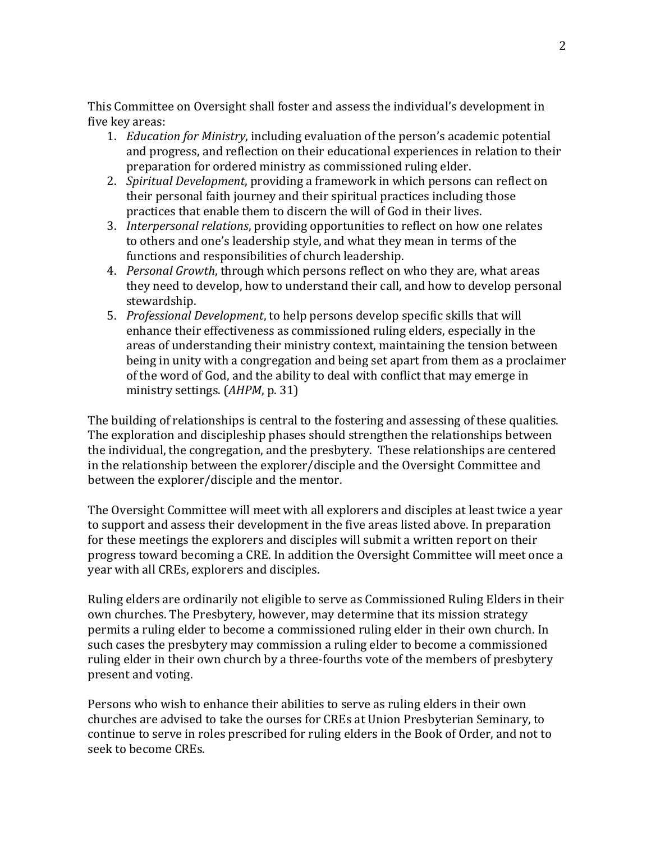This Committee on Oversight shall foster and assess the individual's development in five key areas:

- 1. *Education for Ministry*, including evaluation of the person's academic potential and progress, and reflection on their educational experiences in relation to their preparation for ordered ministry as commissioned ruling elder.
- 2. *Spiritual Development*, providing a framework in which persons can reflect on their personal faith journey and their spiritual practices including those practices that enable them to discern the will of God in their lives.
- 3. *Interpersonal relations*, providing opportunities to reflect on how one relates to others and one's leadership style, and what they mean in terms of the functions and responsibilities of church leadership.
- 4. *Personal Growth*, through which persons reflect on who they are, what areas they need to develop, how to understand their call, and how to develop personal stewardship.
- 5. *Professional Development*, to help persons develop specific skills that will enhance their effectiveness as commissioned ruling elders, especially in the areas of understanding their ministry context, maintaining the tension between being in unity with a congregation and being set apart from them as a proclaimer of the word of God, and the ability to deal with conflict that may emerge in ministry settings. (*AHPM*, p. 31)

The building of relationships is central to the fostering and assessing of these qualities. The exploration and discipleship phases should strengthen the relationships between the individual, the congregation, and the presbytery. These relationships are centered in the relationship between the explorer/disciple and the Oversight Committee and between the explorer/disciple and the mentor.

The Oversight Committee will meet with all explorers and disciples at least twice a year to support and assess their development in the five areas listed above. In preparation for these meetings the explorers and disciples will submit a written report on their progress toward becoming a CRE. In addition the Oversight Committee will meet once a year with all CREs, explorers and disciples.

Ruling elders are ordinarily not eligible to serve as Commissioned Ruling Elders in their own churches. The Presbytery, however, may determine that its mission strategy permits a ruling elder to become a commissioned ruling elder in their own church. In such cases the presbytery may commission a ruling elder to become a commissioned ruling elder in their own church by a three-fourths vote of the members of presbytery present and voting.

Persons who wish to enhance their abilities to serve as ruling elders in their own churches are advised to take the ourses for CREs at Union Presbyterian Seminary, to continue to serve in roles prescribed for ruling elders in the Book of Order, and not to seek to become CREs.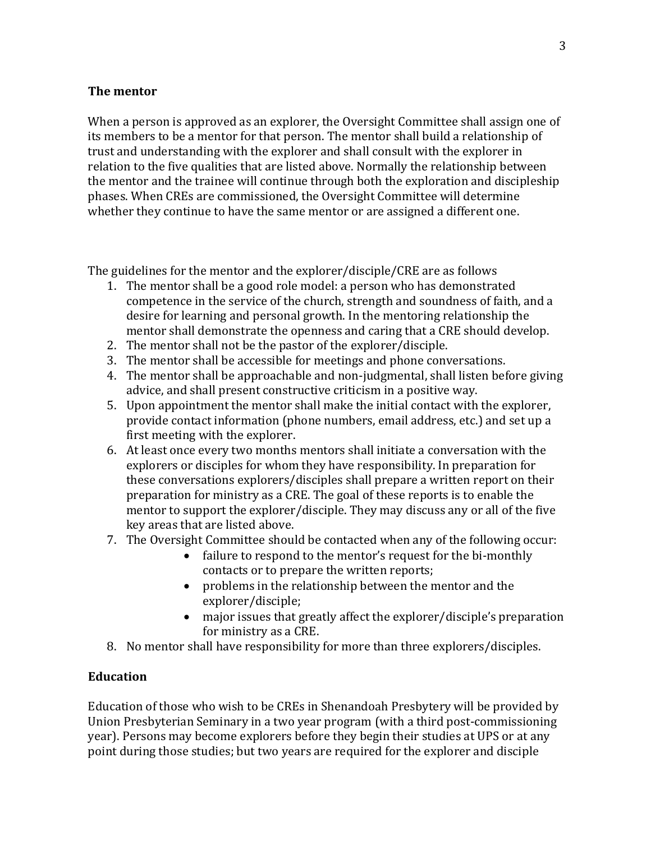### **The mentor**

When a person is approved as an explorer, the Oversight Committee shall assign one of its members to be a mentor for that person. The mentor shall build a relationship of trust and understanding with the explorer and shall consult with the explorer in relation to the five qualities that are listed above. Normally the relationship between the mentor and the trainee will continue through both the exploration and discipleship phases. When CREs are commissioned, the Oversight Committee will determine whether they continue to have the same mentor or are assigned a different one.

The guidelines for the mentor and the explorer/disciple/CRE are as follows

- 1. The mentor shall be a good role model: a person who has demonstrated competence in the service of the church, strength and soundness of faith, and a desire for learning and personal growth. In the mentoring relationship the mentor shall demonstrate the openness and caring that a CRE should develop.
- 2. The mentor shall not be the pastor of the explorer/disciple.
- 3. The mentor shall be accessible for meetings and phone conversations.
- 4. The mentor shall be approachable and non-judgmental, shall listen before giving advice, and shall present constructive criticism in a positive way.
- 5. Upon appointment the mentor shall make the initial contact with the explorer, provide contact information (phone numbers, email address, etc.) and set up a first meeting with the explorer.
- 6. At least once every two months mentors shall initiate a conversation with the explorers or disciples for whom they have responsibility. In preparation for these conversations explorers/disciples shall prepare a written report on their preparation for ministry as a CRE. The goal of these reports is to enable the mentor to support the explorer/disciple. They may discuss any or all of the five key areas that are listed above.
- 7. The Oversight Committee should be contacted when any of the following occur:
	- failure to respond to the mentor's request for the bi-monthly contacts or to prepare the written reports;
	- problems in the relationship between the mentor and the explorer/disciple;
	- major issues that greatly affect the explorer/disciple's preparation for ministry as a CRE.
- 8. No mentor shall have responsibility for more than three explorers/disciples.

### **Education**

Education of those who wish to be CREs in Shenandoah Presbytery will be provided by Union Presbyterian Seminary in a two year program (with a third post-commissioning year). Persons may become explorers before they begin their studies at UPS or at any point during those studies; but two years are required for the explorer and disciple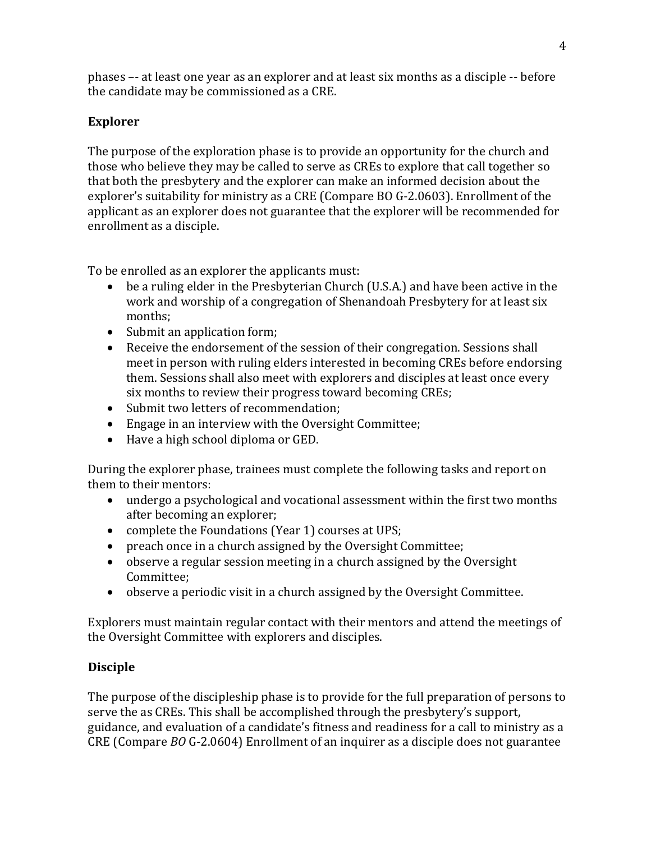phases –- at least one year as an explorer and at least six months as a disciple -- before the candidate may be commissioned as a CRE.

## **Explorer**

The purpose of the exploration phase is to provide an opportunity for the church and those who believe they may be called to serve as CREs to explore that call together so that both the presbytery and the explorer can make an informed decision about the explorer's suitability for ministry as a CRE (Compare BO G-2.0603). Enrollment of the applicant as an explorer does not guarantee that the explorer will be recommended for enrollment as a disciple.

To be enrolled as an explorer the applicants must:

- be a ruling elder in the Presbyterian Church (U.S.A.) and have been active in the work and worship of a congregation of Shenandoah Presbytery for at least six months;
- Submit an application form;
- Receive the endorsement of the session of their congregation. Sessions shall meet in person with ruling elders interested in becoming CREs before endorsing them. Sessions shall also meet with explorers and disciples at least once every six months to review their progress toward becoming CREs;
- Submit two letters of recommendation:
- Engage in an interview with the Oversight Committee;
- Have a high school diploma or GED.

During the explorer phase, trainees must complete the following tasks and report on them to their mentors:

- undergo a psychological and vocational assessment within the first two months after becoming an explorer;
- complete the Foundations (Year 1) courses at UPS;
- preach once in a church assigned by the Oversight Committee;
- observe a regular session meeting in a church assigned by the Oversight Committee;
- observe a periodic visit in a church assigned by the Oversight Committee.

Explorers must maintain regular contact with their mentors and attend the meetings of the Oversight Committee with explorers and disciples.

# **Disciple**

The purpose of the discipleship phase is to provide for the full preparation of persons to serve the as CREs. This shall be accomplished through the presbytery's support, guidance, and evaluation of a candidate's fitness and readiness for a call to ministry as a CRE (Compare *BO* G-2.0604) Enrollment of an inquirer as a disciple does not guarantee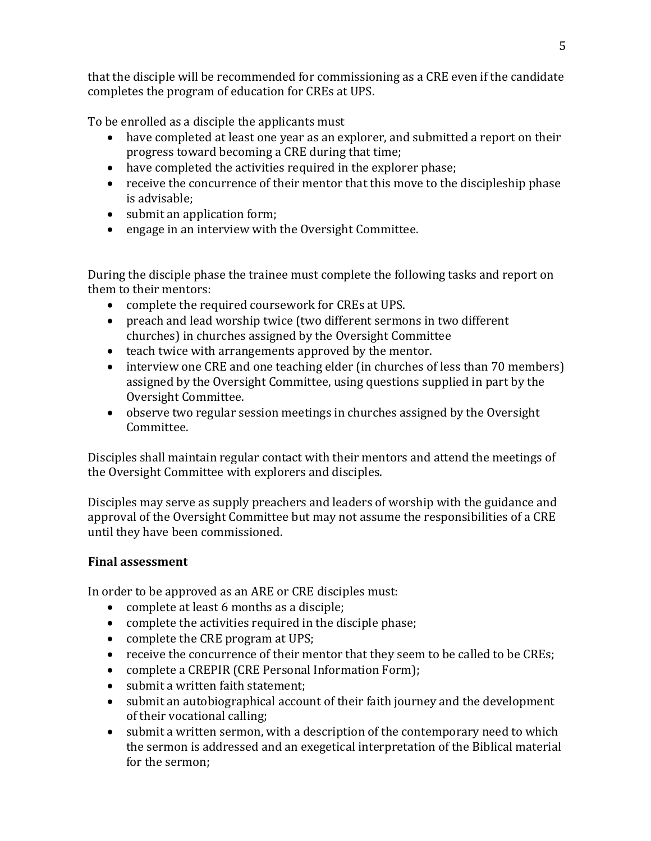that the disciple will be recommended for commissioning as a CRE even if the candidate completes the program of education for CREs at UPS.

To be enrolled as a disciple the applicants must

- have completed at least one year as an explorer, and submitted a report on their progress toward becoming a CRE during that time;
- have completed the activities required in the explorer phase;
- receive the concurrence of their mentor that this move to the discipleship phase is advisable;
- submit an application form;
- engage in an interview with the Oversight Committee.

During the disciple phase the trainee must complete the following tasks and report on them to their mentors:

- complete the required coursework for CREs at UPS.
- preach and lead worship twice (two different sermons in two different churches) in churches assigned by the Oversight Committee
- teach twice with arrangements approved by the mentor.
- interview one CRE and one teaching elder (in churches of less than 70 members) assigned by the Oversight Committee, using questions supplied in part by the Oversight Committee.
- observe two regular session meetings in churches assigned by the Oversight Committee.

Disciples shall maintain regular contact with their mentors and attend the meetings of the Oversight Committee with explorers and disciples.

Disciples may serve as supply preachers and leaders of worship with the guidance and approval of the Oversight Committee but may not assume the responsibilities of a CRE until they have been commissioned.

## **Final assessment**

In order to be approved as an ARE or CRE disciples must:

- complete at least 6 months as a disciple;
- complete the activities required in the disciple phase;
- complete the CRE program at UPS;
- receive the concurrence of their mentor that they seem to be called to be CREs;
- complete a CREPIR (CRE Personal Information Form);
- submit a written faith statement;
- submit an autobiographical account of their faith journey and the development of their vocational calling;
- submit a written sermon, with a description of the contemporary need to which the sermon is addressed and an exegetical interpretation of the Biblical material for the sermon;